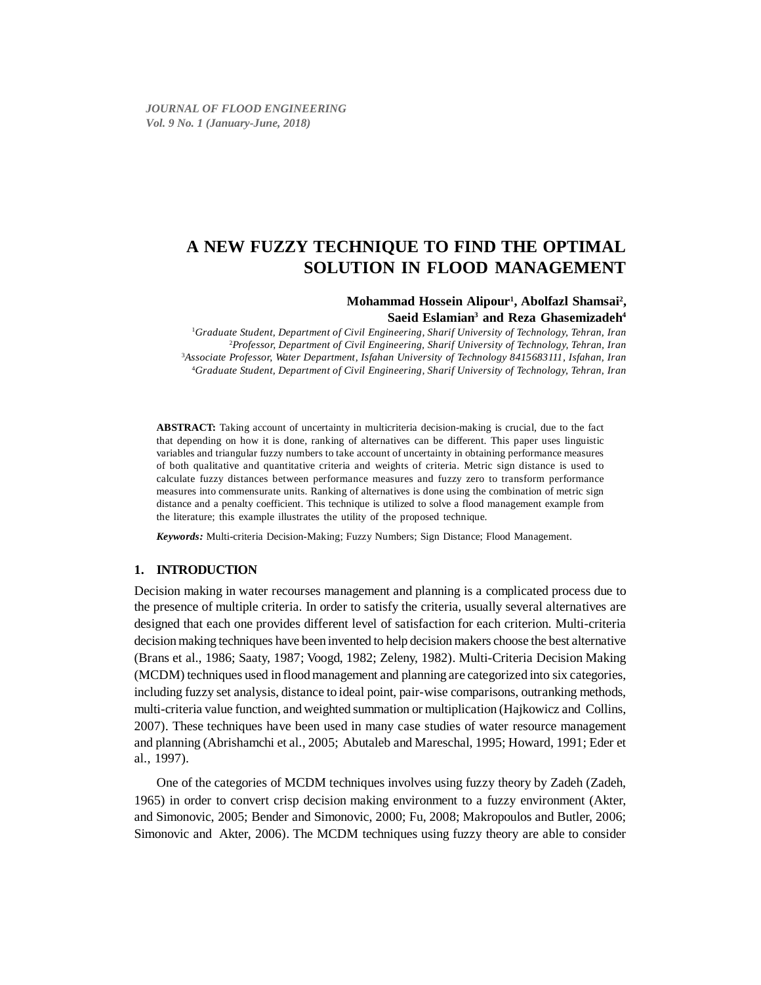# Mohammad Hossein Alipour<sup>1</sup>, Abolfazl Shamsai<sup>2</sup>, **Saeid Eslamian3 and Reza Ghasemizadeh4**

 *Graduate Student, Department of Civil Engineering, Sharif University of Technology, Tehran, Iran Professor, Department of Civil Engineering, Sharif University of Technology, Tehran, Iran Associate Professor, Water Department, Isfahan University of Technology 8415683111, Isfahan, Iran Graduate Student, Department of Civil Engineering, Sharif University of Technology, Tehran, Iran*

**ABSTRACT:** Taking account of uncertainty in multicriteria decision-making is crucial, due to the fact that depending on how it is done, ranking of alternatives can be different. This paper uses linguistic variables and triangular fuzzy numbers to take account of uncertainty in obtaining performance measures of both qualitative and quantitative criteria and weights of criteria. Metric sign distance is used to calculate fuzzy distances between performance measures and fuzzy zero to transform performance measures into commensurate units. Ranking of alternatives is done using the combination of metric sign distance and a penalty coefficient. This technique is utilized to solve a flood management example from the literature; this example illustrates the utility of the proposed technique.

*Keywords:* Multi-criteria Decision-Making; Fuzzy Numbers; Sign Distance; Flood Management.

# **1. INTRODUCTION**

Decision making in water recourses management and planning is a complicated process due to the presence of multiple criteria. In order to satisfy the criteria, usually several alternatives are designed that each one provides different level of satisfaction for each criterion. Multi-criteria decision making techniques have been invented to help decision makers choose the best alternative (Brans et al., 1986; Saaty, 1987; Voogd, 1982; Zeleny, 1982). Multi-Criteria Decision Making (MCDM) techniques used in flood management and planning are categorized into six categories, including fuzzy set analysis, distance to ideal point, pair-wise comparisons, outranking methods, multi-criteria value function, and weighted summation or multiplication (Hajkowicz and Collins, 2007). These techniques have been used in many case studies of water resource management and planning (Abrishamchi et al., 2005; Abutaleb and Mareschal, 1995; Howard, 1991; Eder et al., 1997).

One of the categories of MCDM techniques involves using fuzzy theory by Zadeh (Zadeh, 1965) in order to convert crisp decision making environment to a fuzzy environment (Akter, and Simonovic, 2005; Bender and Simonovic, 2000; Fu, 2008; Makropoulos and Butler, 2006; Simonovic and Akter, 2006). The MCDM techniques using fuzzy theory are able to consider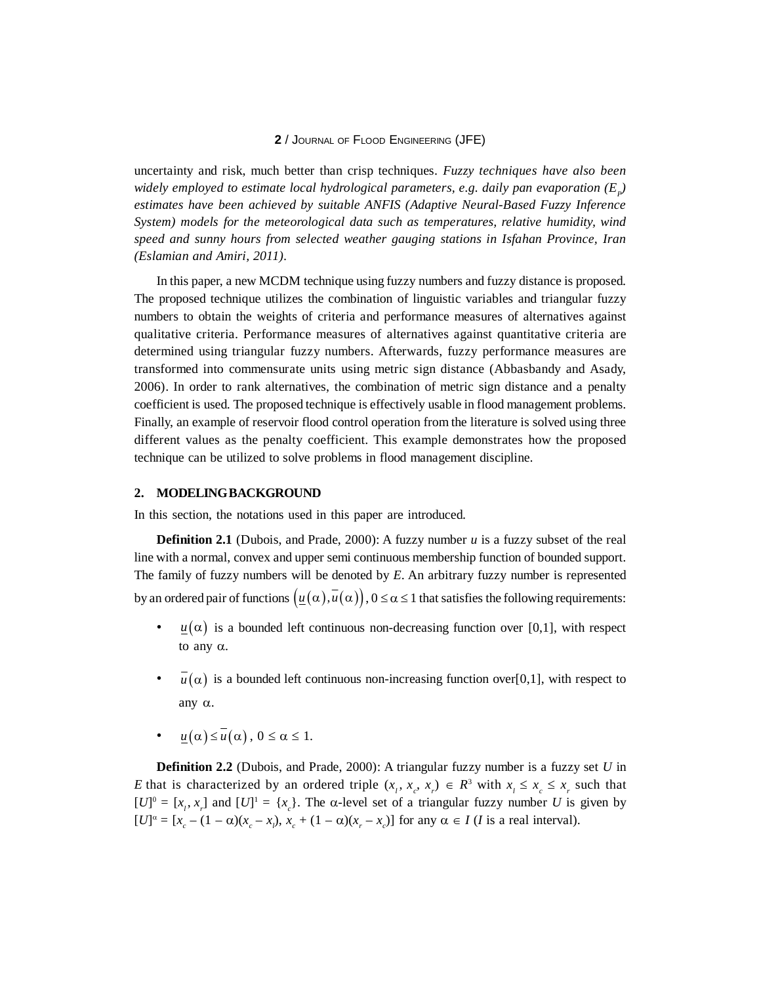uncertainty and risk, much better than crisp techniques. *Fuzzy techniques have also been* widely employed to estimate local hydrological parameters, e.g. daily pan evaporation  $(E_p)$ *estimates have been achieved by suitable ANFIS (Adaptive Neural-Based Fuzzy Inference System) models for the meteorological data such as temperatures, relative humidity, wind speed and sunny hours from selected weather gauging stations in Isfahan Province, Iran (Eslamian and Amiri, 2011).*

In this paper, a new MCDM technique using fuzzy numbers and fuzzy distance is proposed. The proposed technique utilizes the combination of linguistic variables and triangular fuzzy numbers to obtain the weights of criteria and performance measures of alternatives against qualitative criteria. Performance measures of alternatives against quantitative criteria are determined using triangular fuzzy numbers. Afterwards, fuzzy performance measures are transformed into commensurate units using metric sign distance (Abbasbandy and Asady, 2006). In order to rank alternatives, the combination of metric sign distance and a penalty coefficient is used. The proposed technique is effectively usable in flood management problems. Finally, an example of reservoir flood control operation from the literature is solved using three different values as the penalty coefficient. This example demonstrates how the proposed technique can be utilized to solve problems in flood management discipline.

#### **2. MODELING BACKGROUND**

In this section, the notations used in this paper are introduced.

**Definition 2.1** (Dubois, and Prade, 2000): A fuzzy number *u* is a fuzzy subset of the real line with a normal, convex and upper semi continuous membership function of bounded support. The family of fuzzy numbers will be denoted by *E*. An arbitrary fuzzy number is represented by an ordered pair of functions  $(\underline{u}(\alpha), \overline{u}(\alpha)), 0 \leq \alpha \leq 1$  that satisfies the following requirements:

- $u(\alpha)$  is a bounded left continuous non-decreasing function over [0,1], with respect to any  $\alpha$ .
- $\bar{u}(\alpha)$  is a bounded left continuous non-increasing function over[0,1], with respect to any  $\alpha$ .
- $u(\alpha) \leq u(\alpha)$ ,  $0 \leq \alpha \leq 1$ .

**Definition 2.2** (Dubois, and Prade, 2000): A triangular fuzzy number is a fuzzy set *U* in *E* that is characterized by an ordered triple  $(x_1, x_c, x_r) \in R^3$  with  $x_1 \le x_c \le x_r$  such that  $[U]^0 = [x_i, x_j]$  and  $[U]^1 = \{x_c\}$ . The  $\alpha$ -level set of a triangular fuzzy number *U* is given by  $[U]^{\alpha} = [x_c - (1 - \alpha)(x_c - x_l), x_c + (1 - \alpha)(x_r - x_c)]$  for any  $\alpha \in I$  (*I* is a real interval).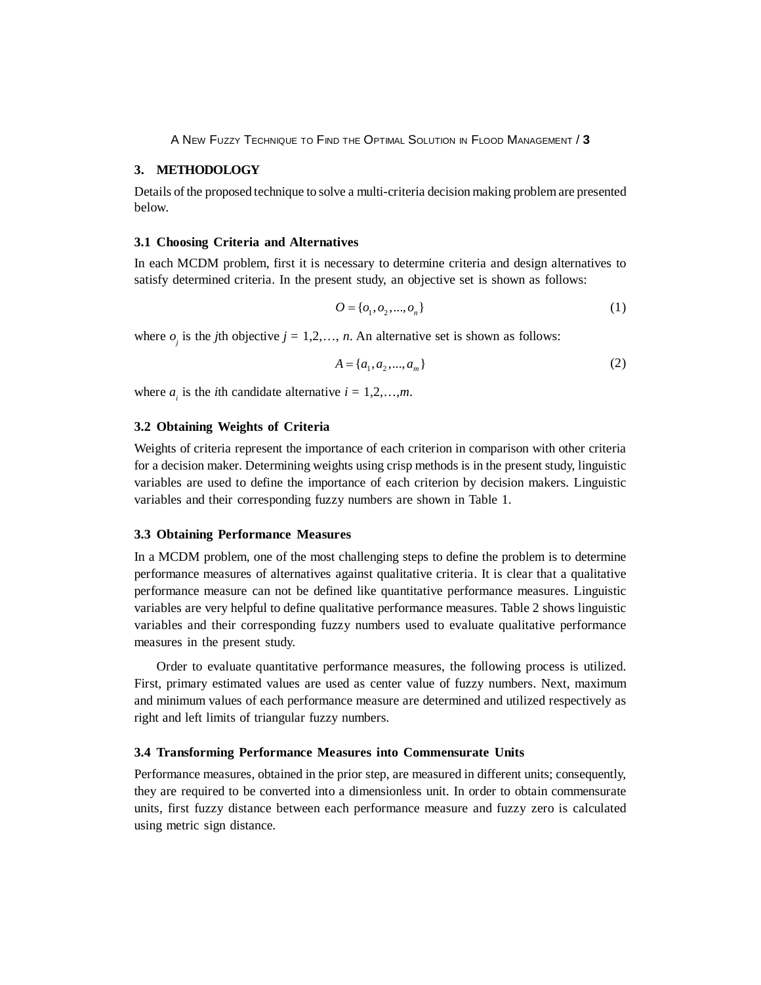# **3. METHODOLOGY**

Details of the proposed technique to solve a multi-criteria decision making problem are presented below.

## **3.1 Choosing Criteria and Alternatives**

In each MCDM problem, first it is necessary to determine criteria and design alternatives to satisfy determined criteria. In the present study, an objective set is shown as follows:

$$
O = \{o_1, o_2, ..., o_n\}
$$
 (1)

where  $o_j$  is the *j*th objective  $j = 1, 2, ..., n$ . An alternative set is shown as follows:

$$
A = \{a_1, a_2, \dots, a_m\}
$$
 (2)

where  $a_i$  is the *i*th candidate alternative  $i = 1, 2, \ldots, m$ .

## **3.2 Obtaining Weights of Criteria**

Weights of criteria represent the importance of each criterion in comparison with other criteria for a decision maker. Determining weights using crisp methods is in the present study, linguistic variables are used to define the importance of each criterion by decision makers. Linguistic variables and their corresponding fuzzy numbers are shown in Table 1.

#### **3.3 Obtaining Performance Measures**

In a MCDM problem, one of the most challenging steps to define the problem is to determine performance measures of alternatives against qualitative criteria. It is clear that a qualitative performance measure can not be defined like quantitative performance measures. Linguistic variables are very helpful to define qualitative performance measures. Table 2 shows linguistic variables and their corresponding fuzzy numbers used to evaluate qualitative performance measures in the present study.

Order to evaluate quantitative performance measures, the following process is utilized. First, primary estimated values are used as center value of fuzzy numbers. Next, maximum and minimum values of each performance measure are determined and utilized respectively as right and left limits of triangular fuzzy numbers.

# **3.4 Transforming Performance Measures into Commensurate Units**

Performance measures, obtained in the prior step, are measured in different units; consequently, they are required to be converted into a dimensionless unit. In order to obtain commensurate units, first fuzzy distance between each performance measure and fuzzy zero is calculated using metric sign distance.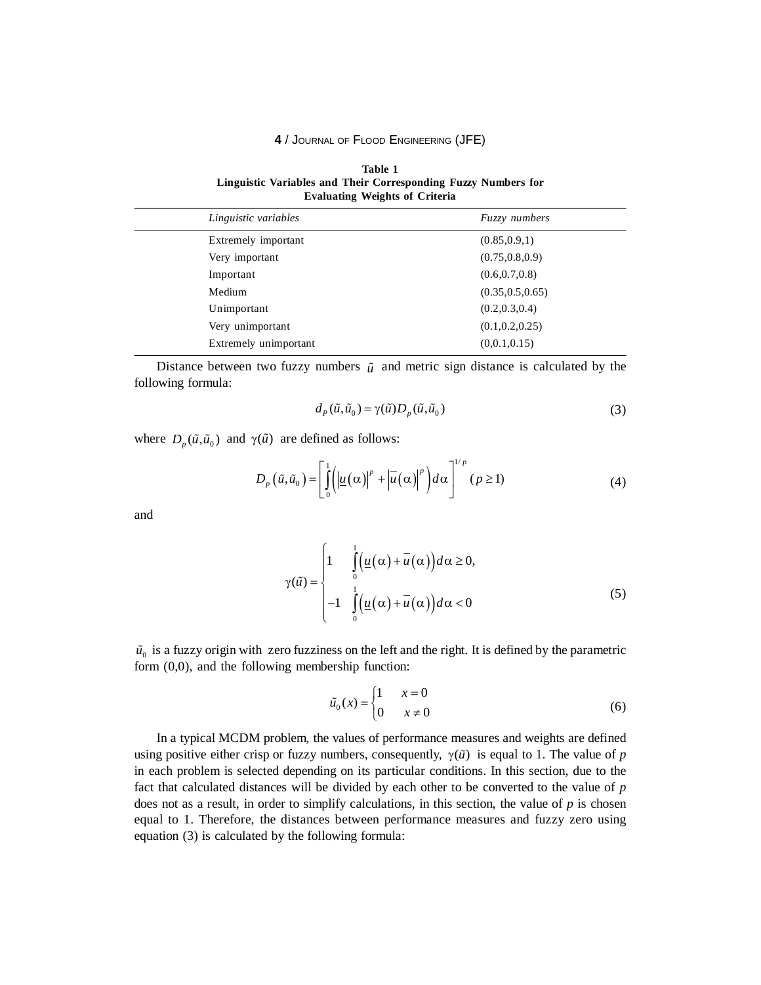**Table 1** Linguistic Variables and Their Corresponding Fuzzy Numbers for **Evaluating Weights of Criteria** 

| Linguistic variables  | <i>Fuzzy numbers</i> |
|-----------------------|----------------------|
| Extremely important   | (0.85, 0.9, 1)       |
| Very important        | (0.75, 0.8, 0.9)     |
| Important             | (0.6, 0.7, 0.8)      |
| Medium                | (0.35, 0.5, 0.65)    |
| Unimportant           | (0.2, 0.3, 0.4)      |
| Very unimportant      | (0.1, 0.2, 0.25)     |
| Extremely unimportant | (0,0.1,0.15)         |
|                       |                      |

Distance between two fuzzy numbers  $\tilde{u}$  and metric sign distance is calculated by the following formula:

$$
d_p(\tilde{u}, \tilde{u}_0) = \gamma(\tilde{u}) D_p(\tilde{u}, \tilde{u}_0)
$$
\n(3)

where  $D_n(\tilde{u}, \tilde{u}_0)$  and  $\gamma(\tilde{u})$  are defined as follows:

$$
D_{p}(\tilde{u},\tilde{u}_{0}) = \left[\int_{0}^{1} \left(\left|\underline{u}(\alpha)\right|^{p} + \left|\overline{u}(\alpha)\right|^{p}\right) d\alpha\right]^{1/p} (p \ge 1)
$$
\n(4)

and

$$
\gamma(\tilde{u}) = \begin{cases} 1 & \int_{0}^{1} \left( \underline{u}(\alpha) + \overline{u}(\alpha) \right) d\alpha \ge 0, \\ -1 & \int_{0}^{1} \left( \underline{u}(\alpha) + \overline{u}(\alpha) \right) d\alpha < 0 \end{cases} \tag{5}
$$

 $\tilde{u}_0$  is a fuzzy origin with zero fuzziness on the left and the right. It is defined by the parametric form  $(0,0)$ , and the following membership function:

$$
\tilde{u}_0(x) = \begin{cases} 1 & x = 0 \\ 0 & x \neq 0 \end{cases} \tag{6}
$$

In a typical MCDM problem, the values of performance measures and weights are defined using positive either crisp or fuzzy numbers, consequently,  $\gamma(\tilde{u})$  is equal to 1. The value of p in each problem is selected depending on its particular conditions. In this section, due to the fact that calculated distances will be divided by each other to be converted to the value of p does not as a result, in order to simplify calculations, in this section, the value of  $p$  is chosen equal to 1. Therefore, the distances between performance measures and fuzzy zero using equation (3) is calculated by the following formula: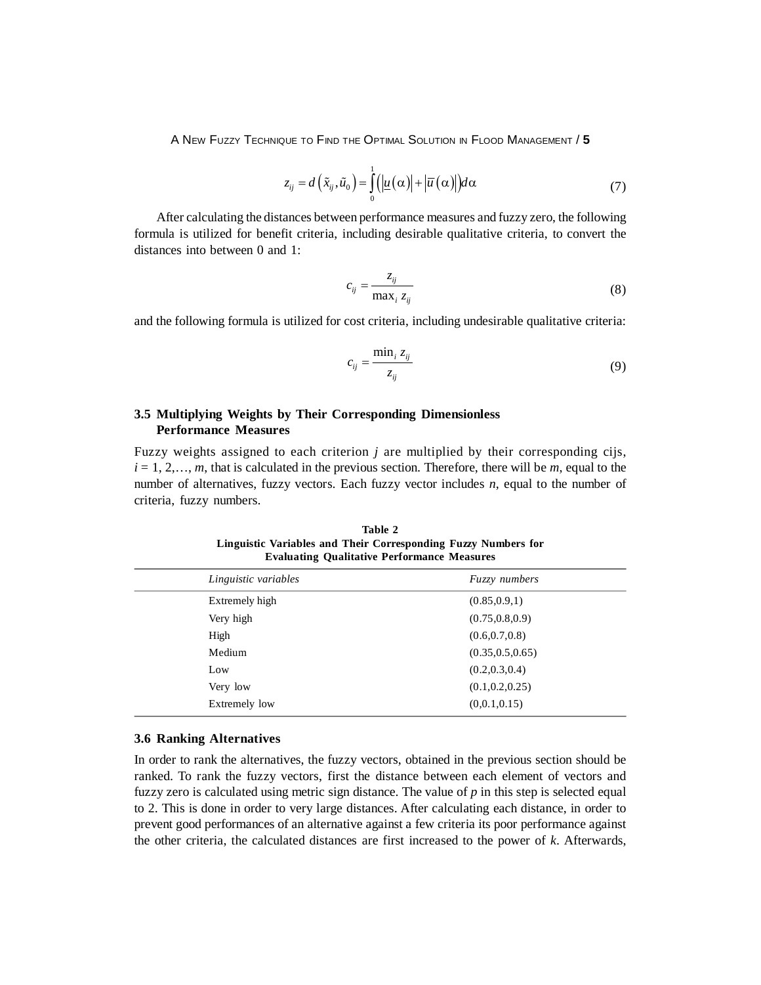$$
z_{ij} = d\left(\tilde{x}_{ij}, \tilde{u}_0\right) = \int_0^1 \left(\left|\underline{u}\left(\alpha\right)\right| + \left|\overline{u}\left(\alpha\right)\right|\right) d\alpha \tag{7}
$$

After calculating the distances between performance measures and fuzzy zero, the following formula is utilized for benefit criteria, including desirable qualitative criteria, to convert the distances into between 0 and 1:

$$
c_{ij} = \frac{z_{ij}}{\max_i z_{ij}}\tag{8}
$$

and the following formula is utilized for cost criteria, including undesirable qualitative criteria:

$$
c_{ij} = \frac{\min_i z_{ij}}{z_{ij}}\tag{9}
$$

# **3.5 Multiplying Weights by Their Corresponding Dimensionless Performance Measures**

Fuzzy weights assigned to each criterion *j* are multiplied by their corresponding cijs,  $i = 1, 2, \ldots, m$ , that is calculated in the previous section. Therefore, there will be  $m$ , equal to the number of alternatives, fuzzy vectors. Each fuzzy vector includes *n*, equal to the number of criteria, fuzzy numbers.

| Table 2<br>Linguistic Variables and Their Corresponding Fuzzy Numbers for<br><b>Evaluating Qualitative Performance Measures</b> |
|---------------------------------------------------------------------------------------------------------------------------------|
|                                                                                                                                 |

**Table 2**

| Linguistic variables | <b>Fuzzy</b> numbers |
|----------------------|----------------------|
| Extremely high       | (0.85, 0.9, 1)       |
| Very high            | (0.75, 0.8, 0.9)     |
| High                 | (0.6, 0.7, 0.8)      |
| Medium               | (0.35, 0.5, 0.65)    |
| Low                  | (0.2, 0.3, 0.4)      |
| Very low             | (0.1, 0.2, 0.25)     |
| Extremely low        | (0,0.1,0.15)         |

# **3.6 Ranking Alternatives**

In order to rank the alternatives, the fuzzy vectors, obtained in the previous section should be ranked. To rank the fuzzy vectors, first the distance between each element of vectors and fuzzy zero is calculated using metric sign distance. The value of  $p$  in this step is selected equal to 2. This is done in order to very large distances. After calculating each distance, in order to prevent good performances of an alternative against a few criteria its poor performance against the other criteria, the calculated distances are first increased to the power of *k*. Afterwards,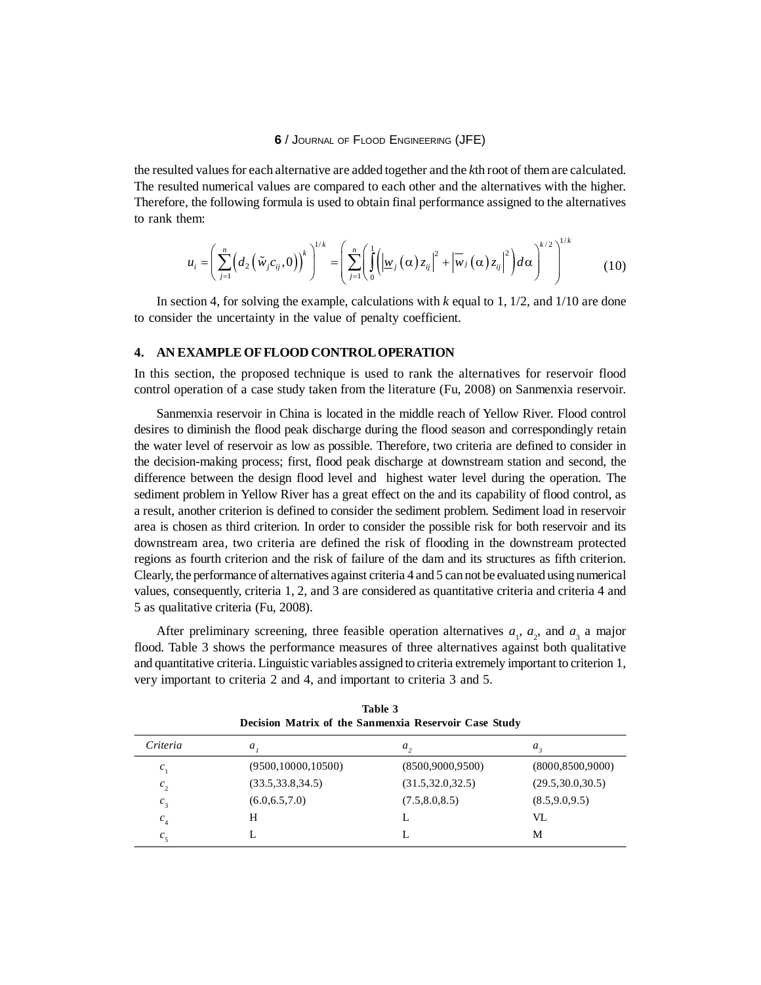the resulted values for each alternative are added together and the *k*th root of them are calculated. The resulted numerical values are compared to each other and the alternatives with the higher. Therefore, the following formula is used to obtain final performance assigned to the alternatives to rank them:

$$
u_i = \left(\sum_{j=1}^n \left(d_2\left(\tilde{w}_j c_{ij}, 0\right)\right)^k\right)^{1/k} = \left(\sum_{j=1}^n \left(\int_0^1 \left(\left|\underline{w}_j\left(\alpha\right) z_{ij}\right|^2 + \left|\overline{w}_j\left(\alpha\right) z_{ij}\right|^2\right) d\alpha\right)^{k/2}\right)^{1/k} \tag{10}
$$

In section 4, for solving the example, calculations with *k* equal to 1, 1/2, and 1/10 are done to consider the uncertainty in the value of penalty coefficient.

## **4. AN EXAMPLE OF FLOOD CONTROL OPERATION**

In this section, the proposed technique is used to rank the alternatives for reservoir flood control operation of a case study taken from the literature (Fu, 2008) on Sanmenxia reservoir.

Sanmenxia reservoir in China is located in the middle reach of Yellow River. Flood control desires to diminish the flood peak discharge during the flood season and correspondingly retain the water level of reservoir as low as possible. Therefore, two criteria are defined to consider in the decision-making process; first, flood peak discharge at downstream station and second, the difference between the design flood level and highest water level during the operation. The sediment problem in Yellow River has a great effect on the and its capability of flood control, as a result, another criterion is defined to consider the sediment problem. Sediment load in reservoir area is chosen as third criterion. In order to consider the possible risk for both reservoir and its downstream area, two criteria are defined the risk of flooding in the downstream protected regions as fourth criterion and the risk of failure of the dam and its structures as fifth criterion. Clearly, the performance of alternatives against criteria 4 and 5 can not be evaluated using numerical values, consequently, criteria 1, 2, and 3 are considered as quantitative criteria and criteria 4 and 5 as qualitative criteria (Fu, 2008).

After preliminary screening, three feasible operation alternatives  $a_1$ ,  $a_2$ , and  $a_3$  a major flood. Table 3 shows the performance measures of three alternatives against both qualitative and quantitative criteria. Linguistic variables assigned to criteria extremely important to criterion 1, very important to criteria 2 and 4, and important to criteria 3 and 5.

| Decision Matrix of the Sanmenxia Reservoir Case Study |                      |                    |                    |
|-------------------------------------------------------|----------------------|--------------------|--------------------|
| Criteria                                              | a,                   | $a_{\lambda}$      | a,                 |
| c,                                                    | (9500, 10000, 10500) | (8500,9000,9500)   | (8000, 8500, 9000) |
| c <sub>2</sub>                                        | (33.5, 33.8, 34.5)   | (31.5, 32.0, 32.5) | (29.5, 30.0, 30.5) |
| $c_{\tiny{\text{3}}}$                                 | (6.0, 6.5, 7.0)      | (7.5, 8.0, 8.5)    | (8.5, 9.0, 9.5)    |
| $c_{\scriptscriptstyle 4}$                            | H                    |                    | VI.                |
| $c_{\zeta}$                                           |                      |                    | М                  |

**Table 3**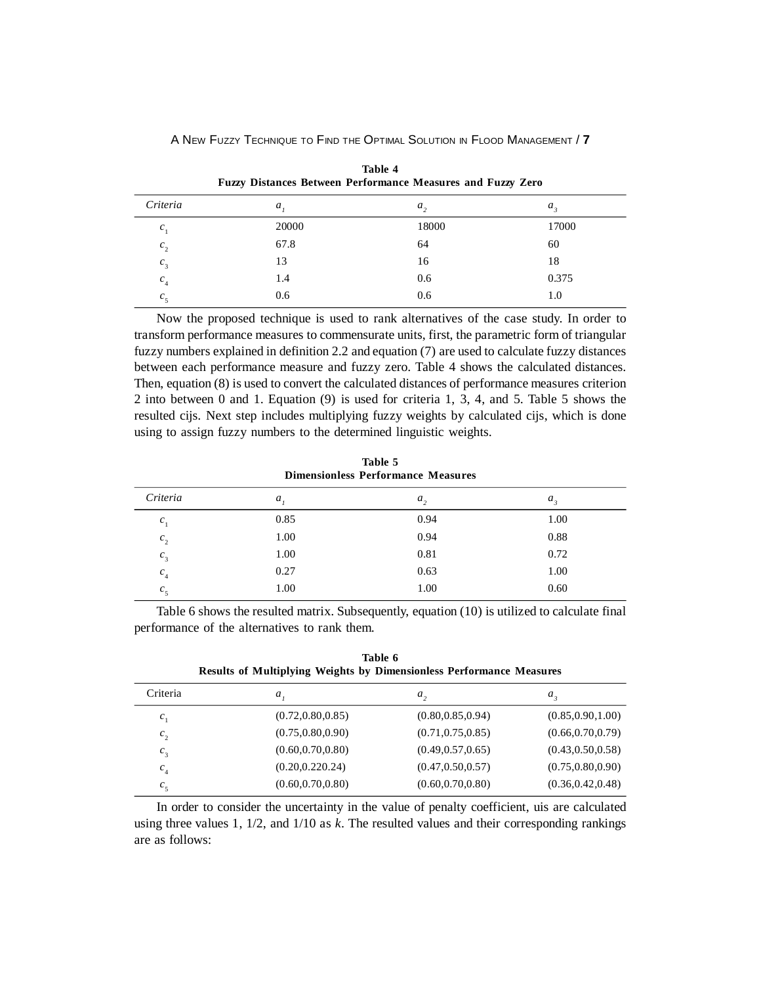| Fuzzy Distances Between Performance Measures and Fuzzy Zero |       |               |       |
|-------------------------------------------------------------|-------|---------------|-------|
| Criteria                                                    | a,    | $a_{\lambda}$ | a,    |
| $c_{1}$                                                     | 20000 | 18000         | 17000 |
| $c_{2}$                                                     | 67.8  | 64            | 60    |
| $c_{3}$                                                     | 13    | 16            | 18    |
| $c_{\scriptscriptstyle 4}$                                  | 1.4   | 0.6           | 0.375 |
| $c_{\rm s}$                                                 | 0.6   | 0.6           | 1.0   |

**Table 4**

Now the proposed technique is used to rank alternatives of the case study. In order to transform performance measures to commensurate units, first, the parametric form of triangular fuzzy numbers explained in definition 2.2 and equation (7) are used to calculate fuzzy distances between each performance measure and fuzzy zero. Table 4 shows the calculated distances. Then, equation (8) is used to convert the calculated distances of performance measures criterion 2 into between 0 and 1. Equation (9) is used for criteria 1, 3, 4, and 5. Table 5 shows the resulted cijs. Next step includes multiplying fuzzy weights by calculated cijs, which is done using to assign fuzzy numbers to the determined linguistic weights.

| Table 5<br><b>Dimensionless Performance Measures</b> |         |                |               |
|------------------------------------------------------|---------|----------------|---------------|
| Criteria                                             | $a_{i}$ | a <sub>2</sub> | $a_{\lambda}$ |
| $c_{1}$                                              | 0.85    | 0.94           | 1.00          |
| $c_{2}$                                              | 1.00    | 0.94           | 0.88          |
| $c_{3}$                                              | 1.00    | 0.81           | 0.72          |
| $c_{\scriptscriptstyle 4}$                           | 0.27    | 0.63           | 1.00          |
| c <sub>5</sub>                                       | 1.00    | 1.00           | 0.60          |

Table 6 shows the resulted matrix. Subsequently, equation (10) is utilized to calculate final performance of the alternatives to rank them.

| Table 6  |  |                                                                             |  |
|----------|--|-----------------------------------------------------------------------------|--|
|          |  | <b>Results of Multiplying Weights by Dimensionless Performance Measures</b> |  |
| Criteria |  |                                                                             |  |

| --------           |                    | $\ddot{\phantom{a}}$ | $\ddots$           |
|--------------------|--------------------|----------------------|--------------------|
| $c_{1}$            | (0.72, 0.80, 0.85) | (0.80, 0.85, 0.94)   | (0.85, 0.90, 1.00) |
| $c_{2}$            | (0.75, 0.80, 0.90) | (0.71, 0.75, 0.85)   | (0.66, 0.70, 0.79) |
| $c_{\frac{1}{3}}$  | (0.60, 0.70, 0.80) | (0.49, 0.57, 0.65)   | (0.43, 0.50, 0.58) |
| $c_{\overline{4}}$ | (0.20, 0.220, 24)  | (0.47, 0.50, 0.57)   | (0.75, 0.80, 0.90) |
| c <sub>5</sub>     | (0.60, 0.70, 0.80) | (0.60, 0.70, 0.80)   | (0.36, 0.42, 0.48) |
|                    |                    |                      |                    |

In order to consider the uncertainty in the value of penalty coefficient, uis are calculated using three values 1, 1/2, and 1/10 as *k*. The resulted values and their corresponding rankings are as follows:

 $T = 1$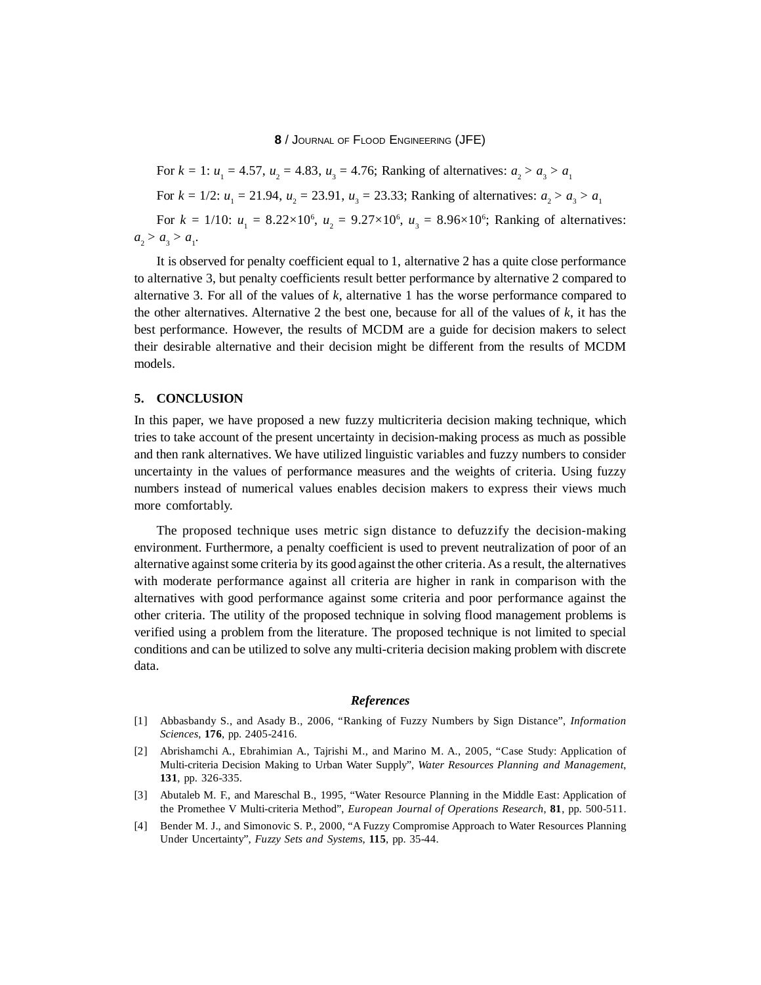For  $k = 1$ :  $u_1 = 4.57$ ,  $u_2 = 4.83$ ,  $u_3 = 4.76$ ; Ranking of alternatives:  $a_2 > a_3 > a_1$ For  $k = 1/2$ :  $u_1 = 21.94$ ,  $u_2 = 23.91$ ,  $u_3 = 23.33$ ; Ranking of alternatives:  $a_2 > a_3 > a_1$ For  $k = 1/10$ :  $u_1 = 8.22 \times 10^6$ ,  $u_2 = 9.27 \times 10^6$ ,  $u_3 = 8.96 \times 10^6$ ; Ranking of alternatives:  $a_2 > a_3 > a_1.$ 

It is observed for penalty coefficient equal to 1, alternative 2 has a quite close performance to alternative 3, but penalty coefficients result better performance by alternative 2 compared to alternative 3. For all of the values of *k*, alternative 1 has the worse performance compared to the other alternatives. Alternative 2 the best one, because for all of the values of *k*, it has the best performance. However, the results of MCDM are a guide for decision makers to select their desirable alternative and their decision might be different from the results of MCDM models.

## **5. CONCLUSION**

In this paper, we have proposed a new fuzzy multicriteria decision making technique, which tries to take account of the present uncertainty in decision-making process as much as possible and then rank alternatives. We have utilized linguistic variables and fuzzy numbers to consider uncertainty in the values of performance measures and the weights of criteria. Using fuzzy numbers instead of numerical values enables decision makers to express their views much more comfortably.

The proposed technique uses metric sign distance to defuzzify the decision-making environment. Furthermore, a penalty coefficient is used to prevent neutralization of poor of an alternative against some criteria by its good against the other criteria. As a result, the alternatives with moderate performance against all criteria are higher in rank in comparison with the alternatives with good performance against some criteria and poor performance against the other criteria. The utility of the proposed technique in solving flood management problems is verified using a problem from the literature. The proposed technique is not limited to special conditions and can be utilized to solve any multi-criteria decision making problem with discrete data.

# *References*

- [1] Abbasbandy S., and Asady B., 2006, "Ranking of Fuzzy Numbers by Sign Distance", *Information Sciences*, **176**, pp. 2405-2416.
- [2] Abrishamchi A., Ebrahimian A., Tajrishi M., and Marino M. A., 2005, "Case Study: Application of Multi-criteria Decision Making to Urban Water Supply", *Water Resources Planning and Management*, **131**, pp. 326-335.
- [3] Abutaleb M. F., and Mareschal B., 1995, "Water Resource Planning in the Middle East: Application of the Promethee V Multi-criteria Method", *European Journal of Operations Research*, **81**, pp. 500-511.
- [4] Bender M. J., and Simonovic S. P., 2000, "A Fuzzy Compromise Approach to Water Resources Planning Under Uncertainty", *Fuzzy Sets and Systems*, **115**, pp. 35-44.